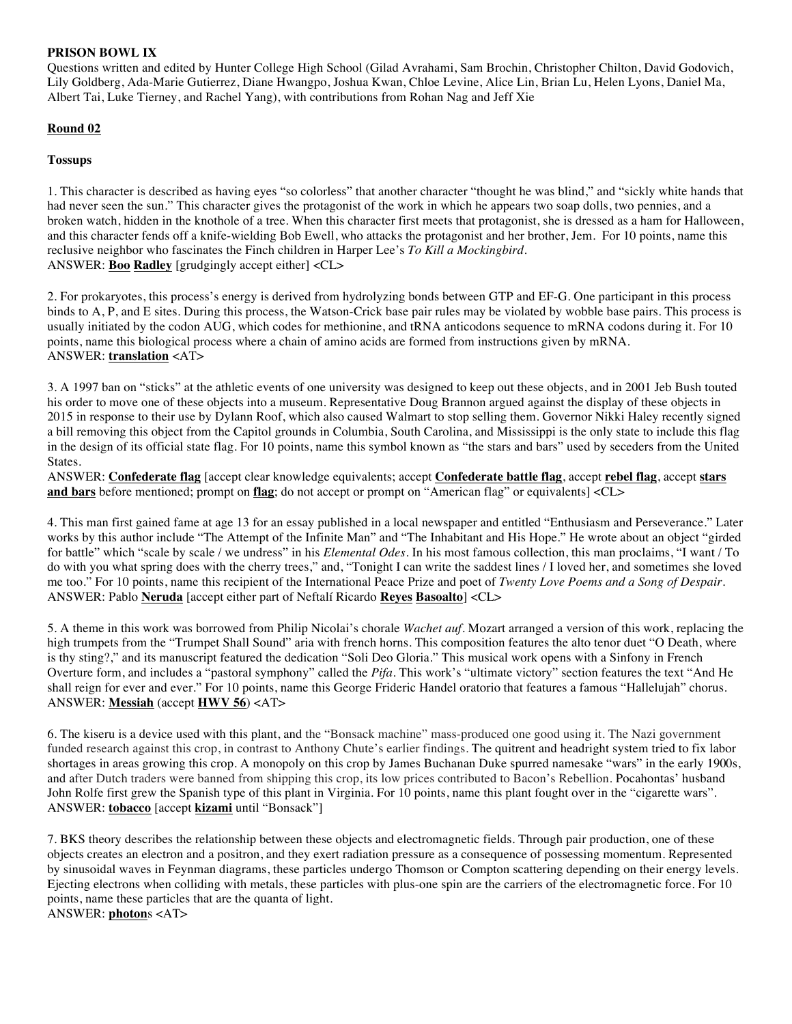# **PRISON BOWL IX**

Questions written and edited by Hunter College High School (Gilad Avrahami, Sam Brochin, Christopher Chilton, David Godovich, Lily Goldberg, Ada-Marie Gutierrez, Diane Hwangpo, Joshua Kwan, Chloe Levine, Alice Lin, Brian Lu, Helen Lyons, Daniel Ma, Albert Tai, Luke Tierney, and Rachel Yang), with contributions from Rohan Nag and Jeff Xie

# **Round 02**

# **Tossups**

1. This character is described as having eyes "so colorless" that another character "thought he was blind," and "sickly white hands that had never seen the sun." This character gives the protagonist of the work in which he appears two soap dolls, two pennies, and a broken watch, hidden in the knothole of a tree. When this character first meets that protagonist, she is dressed as a ham for Halloween, and this character fends off a knife-wielding Bob Ewell, who attacks the protagonist and her brother, Jem. For 10 points, name this reclusive neighbor who fascinates the Finch children in Harper Lee's *To Kill a Mockingbird.* ANSWER: **Boo Radley** [grudgingly accept either] <CL>

2. For prokaryotes, this process's energy is derived from hydrolyzing bonds between GTP and EF-G. One participant in this process binds to A, P, and E sites. During this process, the Watson-Crick base pair rules may be violated by wobble base pairs. This process is usually initiated by the codon AUG, which codes for methionine, and tRNA anticodons sequence to mRNA codons during it. For 10 points, name this biological process where a chain of amino acids are formed from instructions given by mRNA. ANSWER: **translation** <AT>

3. A 1997 ban on "sticks" at the athletic events of one university was designed to keep out these objects, and in 2001 Jeb Bush touted his order to move one of these objects into a museum. Representative Doug Brannon argued against the display of these objects in 2015 in response to their use by Dylann Roof, which also caused Walmart to stop selling them. Governor Nikki Haley recently signed a bill removing this object from the Capitol grounds in Columbia, South Carolina, and Mississippi is the only state to include this flag in the design of its official state flag. For 10 points, name this symbol known as "the stars and bars" used by seceders from the United States.

ANSWER: **Confederate flag** [accept clear knowledge equivalents; accept **Confederate battle flag**, accept **rebel flag**, accept **stars and bars** before mentioned; prompt on **flag**; do not accept or prompt on "American flag" or equivalents] <CL>

4. This man first gained fame at age 13 for an essay published in a local newspaper and entitled "Enthusiasm and Perseverance." Later works by this author include "The Attempt of the Infinite Man" and "The Inhabitant and His Hope." He wrote about an object "girded for battle" which "scale by scale / we undress" in his *Elemental Odes*. In his most famous collection, this man proclaims, "I want / To do with you what spring does with the cherry trees," and, "Tonight I can write the saddest lines / I loved her, and sometimes she loved me too." For 10 points, name this recipient of the International Peace Prize and poet of *Twenty Love Poems and a Song of Despair.* ANSWER: Pablo **Neruda** [accept either part of Neftalí Ricardo **Reyes Basoalto**] <CL>

5. A theme in this work was borrowed from Philip Nicolai's chorale *Wachet auf*. Mozart arranged a version of this work, replacing the high trumpets from the "Trumpet Shall Sound" aria with french horns. This composition features the alto tenor duet "O Death, where is thy sting?," and its manuscript featured the dedication "Soli Deo Gloria." This musical work opens with a Sinfony in French Overture form, and includes a "pastoral symphony" called the *Pifa*. This work's "ultimate victory" section features the text "And He shall reign for ever and ever." For 10 points, name this George Frideric Handel oratorio that features a famous "Hallelujah" chorus. ANSWER: **Messiah** (accept **HWV 56**) <AT>

6. The kiseru is a device used with this plant, and the "Bonsack machine" mass-produced one good using it. The Nazi government funded research against this crop, in contrast to Anthony Chute's earlier findings. The quitrent and headright system tried to fix labor shortages in areas growing this crop. A monopoly on this crop by James Buchanan Duke spurred namesake "wars" in the early 1900s, and after Dutch traders were banned from shipping this crop, its low prices contributed to Bacon's Rebellion. Pocahontas' husband John Rolfe first grew the Spanish type of this plant in Virginia. For 10 points, name this plant fought over in the "cigarette wars". ANSWER: **tobacco** [accept **kizami** until "Bonsack"]

7. BKS theory describes the relationship between these objects and electromagnetic fields. Through pair production, one of these objects creates an electron and a positron, and they exert radiation pressure as a consequence of possessing momentum. Represented by sinusoidal waves in Feynman diagrams, these particles undergo Thomson or Compton scattering depending on their energy levels. Ejecting electrons when colliding with metals, these particles with plus-one spin are the carriers of the electromagnetic force. For 10 points, name these particles that are the quanta of light. ANSWER: **photon**s <AT>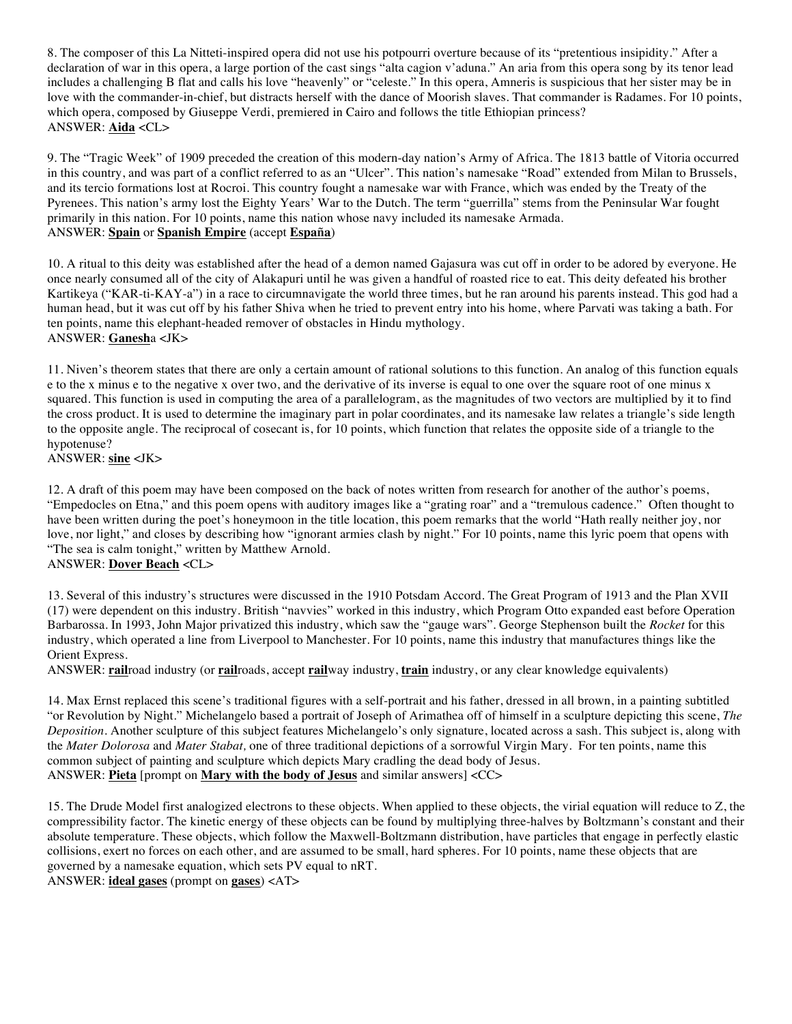8. The composer of this La Nitteti-inspired opera did not use his potpourri overture because of its "pretentious insipidity." After a declaration of war in this opera, a large portion of the cast sings "alta cagion v'aduna." An aria from this opera song by its tenor lead includes a challenging B flat and calls his love "heavenly" or "celeste." In this opera, Amneris is suspicious that her sister may be in love with the commander-in-chief, but distracts herself with the dance of Moorish slaves. That commander is Radames. For 10 points, which opera, composed by Giuseppe Verdi, premiered in Cairo and follows the title Ethiopian princess? ANSWER: **Aida** <CL>

9. The "Tragic Week" of 1909 preceded the creation of this modern-day nation's Army of Africa. The 1813 battle of Vitoria occurred in this country, and was part of a conflict referred to as an "Ulcer". This nation's namesake "Road" extended from Milan to Brussels, and its tercio formations lost at Rocroi. This country fought a namesake war with France, which was ended by the Treaty of the Pyrenees. This nation's army lost the Eighty Years' War to the Dutch. The term "guerrilla" stems from the Peninsular War fought primarily in this nation. For 10 points, name this nation whose navy included its namesake Armada. ANSWER: **Spain** or **Spanish Empire** (accept **España**)

10. A ritual to this deity was established after the head of a demon named Gajasura was cut off in order to be adored by everyone. He once nearly consumed all of the city of Alakapuri until he was given a handful of roasted rice to eat. This deity defeated his brother Kartikeya ("KAR-ti-KAY-a") in a race to circumnavigate the world three times, but he ran around his parents instead. This god had a human head, but it was cut off by his father Shiva when he tried to prevent entry into his home, where Parvati was taking a bath. For ten points, name this elephant-headed remover of obstacles in Hindu mythology. ANSWER: **Ganesh**a <JK>

11. Niven's theorem states that there are only a certain amount of rational solutions to this function. An analog of this function equals e to the x minus e to the negative x over two, and the derivative of its inverse is equal to one over the square root of one minus x squared. This function is used in computing the area of a parallelogram, as the magnitudes of two vectors are multiplied by it to find the cross product. It is used to determine the imaginary part in polar coordinates, and its namesake law relates a triangle's side length to the opposite angle. The reciprocal of cosecant is, for 10 points, which function that relates the opposite side of a triangle to the hypotenuse?

ANSWER: **sine** <JK>

12. A draft of this poem may have been composed on the back of notes written from research for another of the author's poems, "Empedocles on Etna," and this poem opens with auditory images like a "grating roar" and a "tremulous cadence." Often thought to have been written during the poet's honeymoon in the title location, this poem remarks that the world "Hath really neither joy, nor love, nor light," and closes by describing how "ignorant armies clash by night." For 10 points, name this lyric poem that opens with "The sea is calm tonight," written by Matthew Arnold.

# ANSWER: **Dover Beach** <CL>

13. Several of this industry's structures were discussed in the 1910 Potsdam Accord. The Great Program of 1913 and the Plan XVII (17) were dependent on this industry. British "navvies" worked in this industry, which Program Otto expanded east before Operation Barbarossa. In 1993, John Major privatized this industry, which saw the "gauge wars". George Stephenson built the *Rocket* for this industry, which operated a line from Liverpool to Manchester. For 10 points, name this industry that manufactures things like the Orient Express.

ANSWER: **rail**road industry (or **rail**roads, accept **rail**way industry, **train** industry, or any clear knowledge equivalents)

14. Max Ernst replaced this scene's traditional figures with a self-portrait and his father, dressed in all brown, in a painting subtitled "or Revolution by Night." Michelangelo based a portrait of Joseph of Arimathea off of himself in a sculpture depicting this scene, *The Deposition*. Another sculpture of this subject features Michelangelo's only signature, located across a sash. This subject is, along with the *Mater Dolorosa* and *Mater Stabat,* one of three traditional depictions of a sorrowful Virgin Mary. For ten points, name this common subject of painting and sculpture which depicts Mary cradling the dead body of Jesus. ANSWER: **Pieta** [prompt on **Mary with the body of Jesus** and similar answers] <CC>

15. The Drude Model first analogized electrons to these objects. When applied to these objects, the virial equation will reduce to Z, the compressibility factor. The kinetic energy of these objects can be found by multiplying three-halves by Boltzmann's constant and their absolute temperature. These objects, which follow the Maxwell-Boltzmann distribution, have particles that engage in perfectly elastic collisions, exert no forces on each other, and are assumed to be small, hard spheres. For 10 points, name these objects that are governed by a namesake equation, which sets PV equal to nRT.

ANSWER: **ideal gases** (prompt on **gases**) <AT>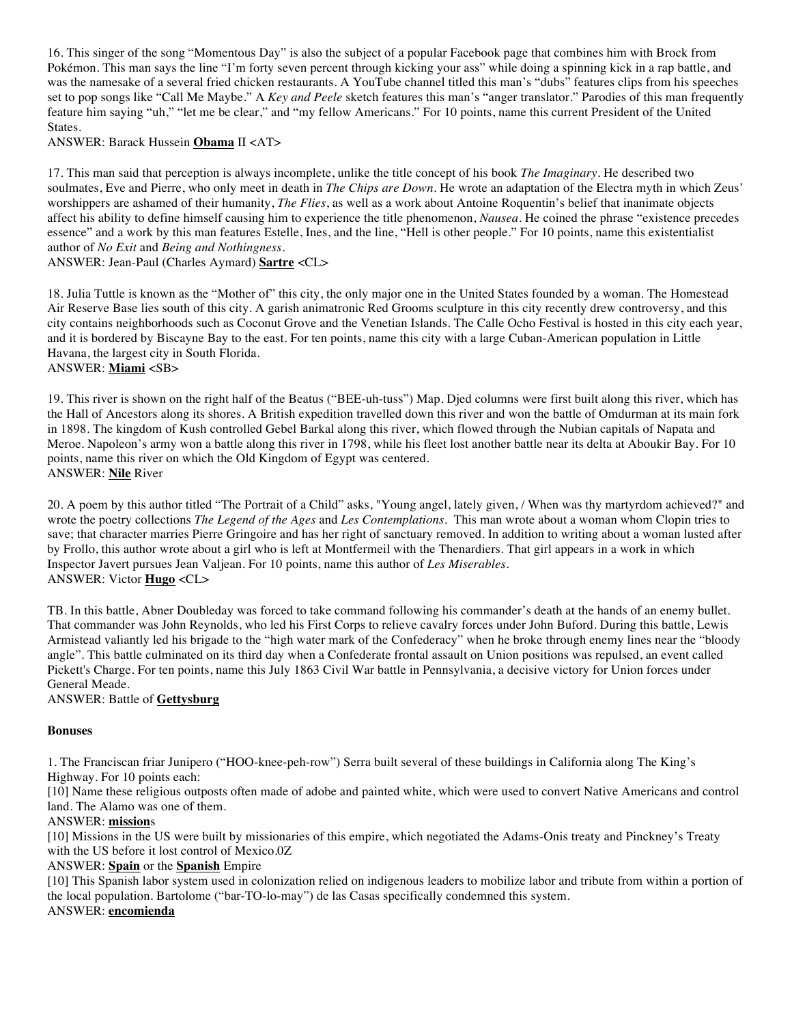16. This singer of the song "Momentous Day" is also the subject of a popular Facebook page that combines him with Brock from Pokémon. This man says the line "I'm forty seven percent through kicking your ass" while doing a spinning kick in a rap battle, and was the namesake of a several fried chicken restaurants. A YouTube channel titled this man's "dubs" features clips from his speeches set to pop songs like "Call Me Maybe." A *Key and Peele* sketch features this man's "anger translator." Parodies of this man frequently feature him saying "uh," "let me be clear," and "my fellow Americans." For 10 points, name this current President of the United States.

ANSWER: Barack Hussein **Obama** II <AT>

17. This man said that perception is always incomplete, unlike the title concept of his book *The Imaginary*. He described two soulmates, Eve and Pierre, who only meet in death in *The Chips are Down*. He wrote an adaptation of the Electra myth in which Zeus' worshippers are ashamed of their humanity, *The Flies*, as well as a work about Antoine Roquentin's belief that inanimate objects affect his ability to define himself causing him to experience the title phenomenon, *Nausea*. He coined the phrase "existence precedes essence" and a work by this man features Estelle, Ines, and the line, "Hell is other people." For 10 points, name this existentialist author of *No Exit* and *Being and Nothingness*.

ANSWER: Jean-Paul (Charles Aymard) **Sartre** <CL>

18. Julia Tuttle is known as the "Mother of" this city, the only major one in the United States founded by a woman. The Homestead Air Reserve Base lies south of this city. A garish animatronic Red Grooms sculpture in this city recently drew controversy, and this city contains neighborhoods such as Coconut Grove and the Venetian Islands. The Calle Ocho Festival is hosted in this city each year, and it is bordered by Biscayne Bay to the east. For ten points, name this city with a large Cuban-American population in Little Havana, the largest city in South Florida. ANSWER: **Miami** <SB>

19. This river is shown on the right half of the Beatus ("BEE-uh-tuss") Map. Djed columns were first built along this river, which has the Hall of Ancestors along its shores. A British expedition travelled down this river and won the battle of Omdurman at its main fork in 1898. The kingdom of Kush controlled Gebel Barkal along this river, which flowed through the Nubian capitals of Napata and Meroe. Napoleon's army won a battle along this river in 1798, while his fleet lost another battle near its delta at Aboukir Bay. For 10 points, name this river on which the Old Kingdom of Egypt was centered. ANSWER: **Nile** River

20. A poem by this author titled "The Portrait of a Child" asks, "Young angel, lately given, / When was thy martyrdom achieved?" and wrote the poetry collections *The Legend of the Ages* and *Les Contemplations*. This man wrote about a woman whom Clopin tries to save; that character marries Pierre Gringoire and has her right of sanctuary removed. In addition to writing about a woman lusted after by Frollo, this author wrote about a girl who is left at Montfermeil with the Thenardiers. That girl appears in a work in which Inspector Javert pursues Jean Valjean. For 10 points, name this author of *Les Miserables*. ANSWER: Victor **Hugo** <CL>

TB. In this battle, Abner Doubleday was forced to take command following his commander's death at the hands of an enemy bullet. That commander was John Reynolds, who led his First Corps to relieve cavalry forces under John Buford. During this battle, Lewis Armistead valiantly led his brigade to the "high water mark of the Confederacy" when he broke through enemy lines near the "bloody angle". This battle culminated on its third day when a Confederate frontal assault on Union positions was repulsed, an event called Pickett's Charge. For ten points, name this July 1863 Civil War battle in Pennsylvania, a decisive victory for Union forces under General Meade.

ANSWER: Battle of **Gettysburg**

### **Bonuses**

1. The Franciscan friar Junipero ("HOO-knee-peh-row") Serra built several of these buildings in California along The King's Highway. For 10 points each:

[10] Name these religious outposts often made of adobe and painted white, which were used to convert Native Americans and control land. The Alamo was one of them.

### ANSWER: **mission**s

[10] Missions in the US were built by missionaries of this empire, which negotiated the Adams-Onis treaty and Pinckney's Treaty with the US before it lost control of Mexico.0Z

### ANSWER: **Spain** or the **Spanish** Empire

[10] This Spanish labor system used in colonization relied on indigenous leaders to mobilize labor and tribute from within a portion of the local population. Bartolome ("bar-TO-lo-may") de las Casas specifically condemned this system. ANSWER: **encomienda**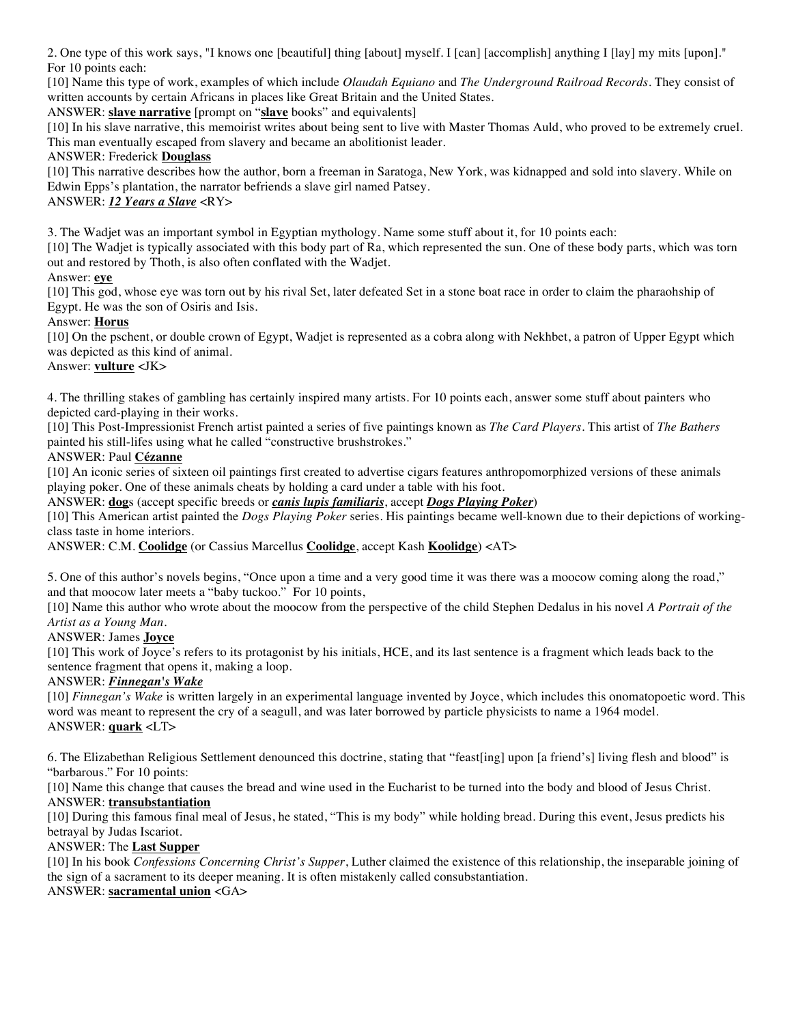2. One type of this work says, "I knows one [beautiful] thing [about] myself. I [can] [accomplish] anything I [lay] my mits [upon]." For 10 points each:

[10] Name this type of work, examples of which include *Olaudah Equiano* and *The Underground Railroad Records.* They consist of written accounts by certain Africans in places like Great Britain and the United States.

ANSWER: **slave narrative** [prompt on "**slave** books" and equivalents]

[10] In his slave narrative, this memoirist writes about being sent to live with Master Thomas Auld, who proved to be extremely cruel. This man eventually escaped from slavery and became an abolitionist leader.

# ANSWER: Frederick **Douglass**

[10] This narrative describes how the author, born a freeman in Saratoga, New York, was kidnapped and sold into slavery. While on Edwin Epps's plantation, the narrator befriends a slave girl named Patsey.

# ANSWER: *12 Years a Slave* <RY>

3. The Wadjet was an important symbol in Egyptian mythology. Name some stuff about it, for 10 points each:

[10] The Wadjet is typically associated with this body part of Ra, which represented the sun. One of these body parts, which was torn out and restored by Thoth, is also often conflated with the Wadjet.

# Answer: **eye**

[10] This god, whose eye was torn out by his rival Set, later defeated Set in a stone boat race in order to claim the pharaohship of Egypt. He was the son of Osiris and Isis.

# Answer: **Horus**

[10] On the pschent, or double crown of Egypt, Wadjet is represented as a cobra along with Nekhbet, a patron of Upper Egypt which was depicted as this kind of animal.

# Answer: **vulture** <JK>

4. The thrilling stakes of gambling has certainly inspired many artists. For 10 points each, answer some stuff about painters who depicted card-playing in their works.

[10] This Post-Impressionist French artist painted a series of five paintings known as *The Card Players*. This artist of *The Bathers*  painted his still-lifes using what he called "constructive brushstrokes."

### ANSWER: Paul **Cézanne**

[10] An iconic series of sixteen oil paintings first created to advertise cigars features anthropomorphized versions of these animals playing poker. One of these animals cheats by holding a card under a table with his foot.

ANSWER: **dog**s (accept specific breeds or *canis lupis familiaris*, accept *Dogs Playing Poker*)

[10] This American artist painted the *Dogs Playing Poker* series. His paintings became well-known due to their depictions of workingclass taste in home interiors.

ANSWER: C.M. **Coolidge** (or Cassius Marcellus **Coolidge**, accept Kash **Koolidge**) <AT>

5. One of this author's novels begins, "Once upon a time and a very good time it was there was a moocow coming along the road," and that moocow later meets a "baby tuckoo." For 10 points,

[10] Name this author who wrote about the moocow from the perspective of the child Stephen Dedalus in his novel *A Portrait of the Artist as a Young Man.*

# ANSWER: James **Joyce**

[10] This work of Joyce's refers to its protagonist by his initials, HCE, and its last sentence is a fragment which leads back to the sentence fragment that opens it, making a loop.

### ANSWER: *Finnegan's Wake*

[10] *Finnegan's Wake* is written largely in an experimental language invented by Joyce, which includes this onomatopoetic word. This word was meant to represent the cry of a seagull, and was later borrowed by particle physicists to name a 1964 model. ANSWER: **quark** <LT>

6. The Elizabethan Religious Settlement denounced this doctrine, stating that "feast[ing] upon [a friend's] living flesh and blood" is "barbarous." For 10 points:

[10] Name this change that causes the bread and wine used in the Eucharist to be turned into the body and blood of Jesus Christ. ANSWER: **transubstantiation**

[10] During this famous final meal of Jesus, he stated, "This is my body" while holding bread. During this event, Jesus predicts his betrayal by Judas Iscariot.

# ANSWER: The **Last Supper**

[10] In his book *Confessions Concerning Christ's Supper*, Luther claimed the existence of this relationship, the inseparable joining of the sign of a sacrament to its deeper meaning. It is often mistakenly called consubstantiation.

ANSWER: **sacramental union** <GA>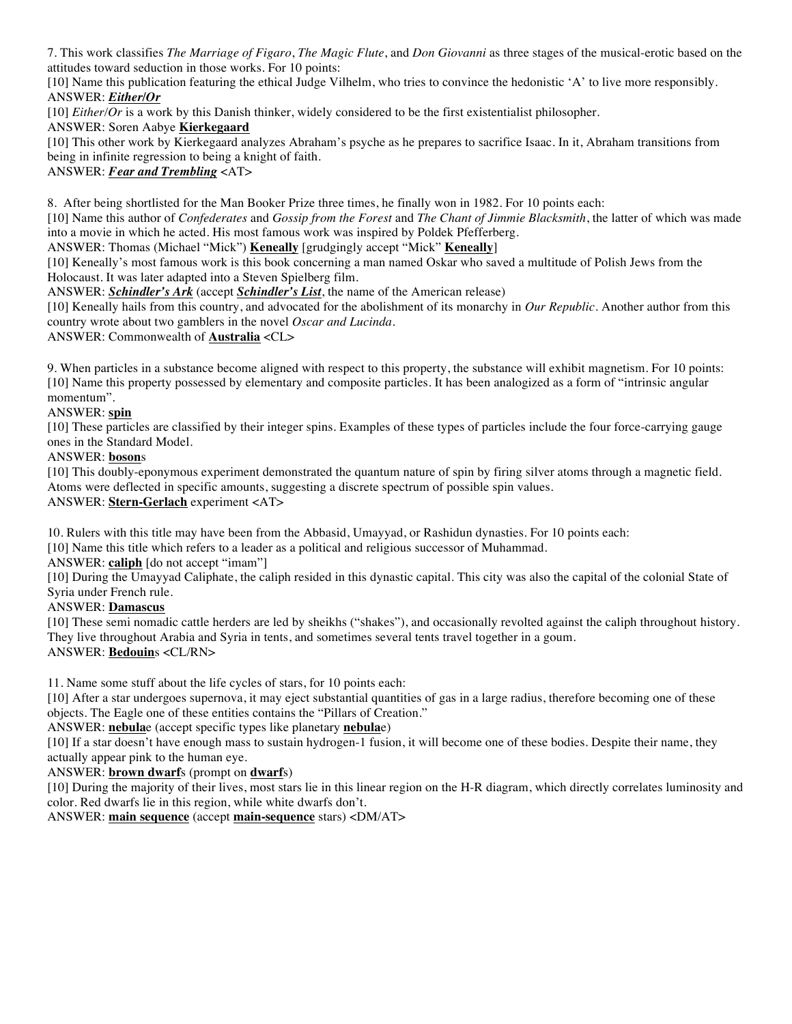7. This work classifies *The Marriage of Figaro*, *The Magic Flute*, and *Don Giovanni* as three stages of the musical-erotic based on the attitudes toward seduction in those works. For 10 points:

[10] Name this publication featuring the ethical Judge Vilhelm, who tries to convince the hedonistic 'A' to live more responsibly. ANSWER: *Either/Or*

[10] *Either/Or* is a work by this Danish thinker, widely considered to be the first existentialist philosopher.

## ANSWER: Soren Aabye **Kierkegaard**

[10] This other work by Kierkegaard analyzes Abraham's psyche as he prepares to sacrifice Isaac. In it, Abraham transitions from being in infinite regression to being a knight of faith.

ANSWER: *Fear and Trembling* <AT>

8. After being shortlisted for the Man Booker Prize three times, he finally won in 1982. For 10 points each:

[10] Name this author of *Confederates* and *Gossip from the Forest* and *The Chant of Jimmie Blacksmith*, the latter of which was made into a movie in which he acted. His most famous work was inspired by Poldek Pfefferberg.

ANSWER: Thomas (Michael "Mick") **Keneally** [grudgingly accept "Mick" **Keneally**]

[10] Keneally's most famous work is this book concerning a man named Oskar who saved a multitude of Polish Jews from the Holocaust. It was later adapted into a Steven Spielberg film.

ANSWER: *Schindler's Ark* (accept *Schindler's List*, the name of the American release)

[10] Keneally hails from this country, and advocated for the abolishment of its monarchy in *Our Republic*. Another author from this country wrote about two gamblers in the novel *Oscar and Lucinda*.

ANSWER: Commonwealth of **Australia** <CL>

9. When particles in a substance become aligned with respect to this property, the substance will exhibit magnetism. For 10 points: [10] Name this property possessed by elementary and composite particles. It has been analogized as a form of "intrinsic angular momentum".

# ANSWER: **spin**

[10] These particles are classified by their integer spins. Examples of these types of particles include the four force-carrying gauge ones in the Standard Model.

### ANSWER: **boson**s

[10] This doubly-eponymous experiment demonstrated the quantum nature of spin by firing silver atoms through a magnetic field. Atoms were deflected in specific amounts, suggesting a discrete spectrum of possible spin values. ANSWER: **Stern-Gerlach** experiment <AT>

10. Rulers with this title may have been from the Abbasid, Umayyad, or Rashidun dynasties. For 10 points each:

[10] Name this title which refers to a leader as a political and religious successor of Muhammad.

ANSWER: **caliph** [do not accept "imam"]

[10] During the Umayyad Caliphate, the caliph resided in this dynastic capital. This city was also the capital of the colonial State of Syria under French rule.

### ANSWER: **Damascus**

[10] These semi nomadic cattle herders are led by sheikhs ("shakes"), and occasionally revolted against the caliph throughout history. They live throughout Arabia and Syria in tents, and sometimes several tents travel together in a goum. ANSWER: **Bedouin**s <CL/RN>

11. Name some stuff about the life cycles of stars, for 10 points each:

[10] After a star undergoes supernova, it may eject substantial quantities of gas in a large radius, therefore becoming one of these objects. The Eagle one of these entities contains the "Pillars of Creation."

### ANSWER: **nebula**e (accept specific types like planetary **nebula**e)

[10] If a star doesn't have enough mass to sustain hydrogen-1 fusion, it will become one of these bodies. Despite their name, they actually appear pink to the human eye.

ANSWER: **brown dwarf**s (prompt on **dwarf**s)

[10] During the majority of their lives, most stars lie in this linear region on the H-R diagram, which directly correlates luminosity and color. Red dwarfs lie in this region, while white dwarfs don't.

ANSWER: **main sequence** (accept **main-sequence** stars) <DM/AT>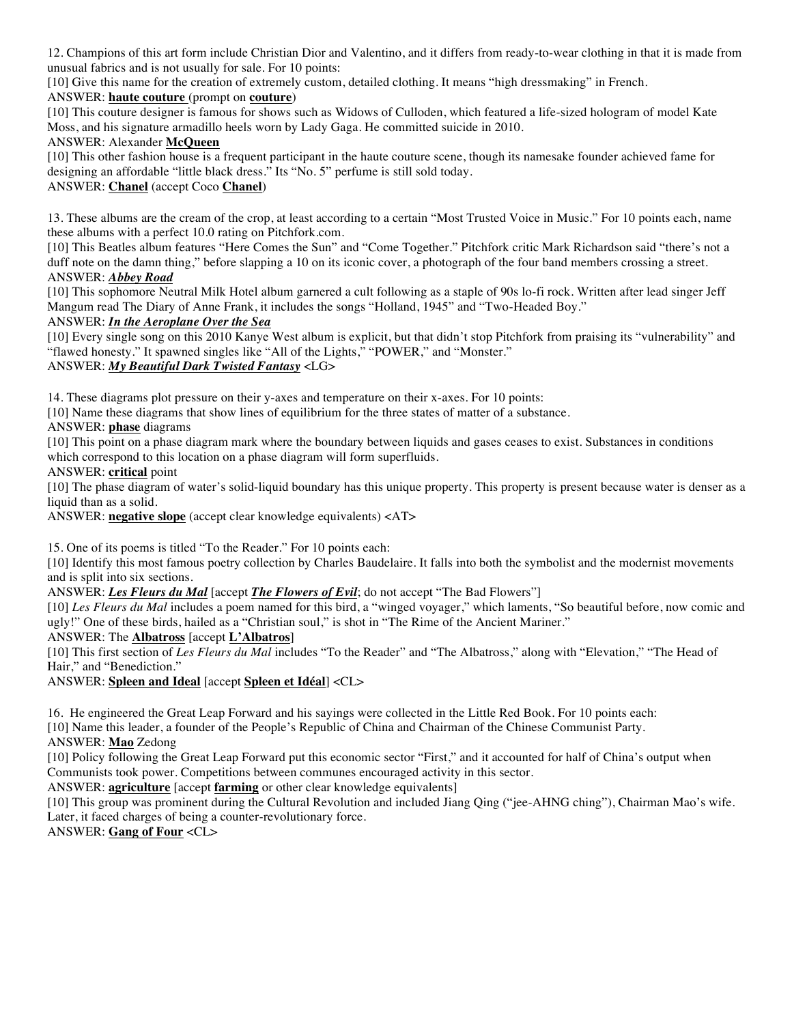12. Champions of this art form include Christian Dior and Valentino, and it differs from ready-to-wear clothing in that it is made from unusual fabrics and is not usually for sale. For 10 points:

[10] Give this name for the creation of extremely custom, detailed clothing. It means "high dressmaking" in French.

# ANSWER: **haute couture** (prompt on **couture**)

[10] This couture designer is famous for shows such as Widows of Culloden, which featured a life-sized hologram of model Kate Moss, and his signature armadillo heels worn by Lady Gaga. He committed suicide in 2010.

# ANSWER: Alexander **McQueen**

[10] This other fashion house is a frequent participant in the haute couture scene, though its namesake founder achieved fame for designing an affordable "little black dress." Its "No. 5" perfume is still sold today.

# ANSWER: **Chanel** (accept Coco **Chanel**)

13. These albums are the cream of the crop, at least according to a certain "Most Trusted Voice in Music." For 10 points each, name these albums with a perfect 10.0 rating on Pitchfork.com.

[10] This Beatles album features "Here Comes the Sun" and "Come Together." Pitchfork critic Mark Richardson said "there's not a duff note on the damn thing," before slapping a 10 on its iconic cover, a photograph of the four band members crossing a street. ANSWER: *Abbey Road*

[10] This sophomore Neutral Milk Hotel album garnered a cult following as a staple of 90s lo-fi rock. Written after lead singer Jeff Mangum read The Diary of Anne Frank, it includes the songs "Holland, 1945" and "Two-Headed Boy."

# ANSWER: *In the Aeroplane Over the Sea*

[10] Every single song on this 2010 Kanye West album is explicit, but that didn't stop Pitchfork from praising its "vulnerability" and "flawed honesty." It spawned singles like "All of the Lights," "POWER," and "Monster."

# ANSWER: *My Beautiful Dark Twisted Fantasy* <LG>

14. These diagrams plot pressure on their y-axes and temperature on their x-axes. For 10 points:

[10] Name these diagrams that show lines of equilibrium for the three states of matter of a substance.

ANSWER: **phase** diagrams

[10] This point on a phase diagram mark where the boundary between liquids and gases ceases to exist. Substances in conditions which correspond to this location on a phase diagram will form superfluids.

ANSWER: **critical** point

[10] The phase diagram of water's solid-liquid boundary has this unique property. This property is present because water is denser as a liquid than as a solid.

ANSWER: **negative slope** (accept clear knowledge equivalents) <AT>

15. One of its poems is titled "To the Reader." For 10 points each:

[10] Identify this most famous poetry collection by Charles Baudelaire. It falls into both the symbolist and the modernist movements and is split into six sections.

ANSWER: *Les Fleurs du Mal* [accept *The Flowers of Evil*; do not accept "The Bad Flowers"]

[10] *Les Fleurs du Mal* includes a poem named for this bird, a "winged voyager," which laments, "So beautiful before, now comic and ugly!" One of these birds, hailed as a "Christian soul," is shot in "The Rime of the Ancient Mariner."

ANSWER: The **Albatross** [accept **L'Albatros**]

[10] This first section of *Les Fleurs du Mal* includes "To the Reader" and "The Albatross," along with "Elevation," "The Head of Hair," and "Benediction."

ANSWER: **Spleen and Ideal** [accept **Spleen et Idéal**] <CL>

16. He engineered the Great Leap Forward and his sayings were collected in the Little Red Book. For 10 points each:

[10] Name this leader, a founder of the People's Republic of China and Chairman of the Chinese Communist Party.

ANSWER: **Mao** Zedong

[10] Policy following the Great Leap Forward put this economic sector "First," and it accounted for half of China's output when Communists took power. Competitions between communes encouraged activity in this sector.

ANSWER: **agriculture** [accept **farming** or other clear knowledge equivalents]

[10] This group was prominent during the Cultural Revolution and included Jiang Qing ("jee-AHNG ching"), Chairman Mao's wife. Later, it faced charges of being a counter-revolutionary force.

ANSWER: **Gang of Four** <CL>